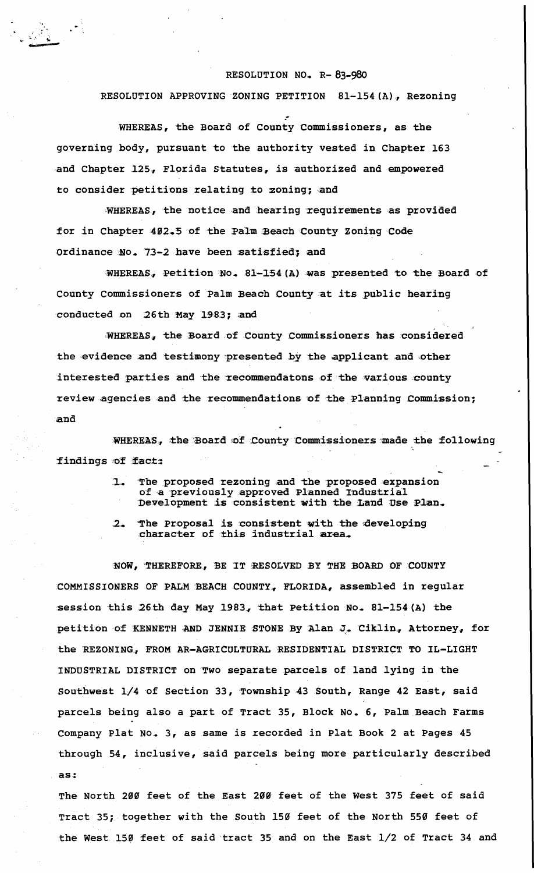## RESOLUTION NO. R-83-980

## RESOLUTION APPROVING ZONING PETITION 81-154(A), Rezoning

WHEREAS, the Board of County Commissioners, as the governing body, pursuant to the authority vested in Chapter 163 and Chapter 125, Florida Statutes, is authorized and empowered to consider petitions relating to zoning; and

WHEREAS, the notice and hearing requirements as provided for in Chapter 402.5 of the Palm Beach County Zoning Code Ordinance No. 73-2 have been satisfied; and

WHEREAS, Petition No. 81-154 (A) was presented to the Board of County Commissioners of Palm Beach County at its public hearing conducted on 26th May 1983; and

WHEREAS, the Board of County Commissioners has considered the evidence and testimony presented by the applicant and other interested parties and the recommendatons of the various county review agencies and the recommendations of the Planning Commission; and

WHEREAS, the Board of County Commissioners made the following findings of fact:

- The proposed rezoning and the proposed expansion  $\mathbf{L}$ of a previously approved Planned Industrial Development is consistent with the Land Use Plan.
- The Proposal is consistent with the developing character of this industrial area.  $2-$

NOW, THEREFORE, BE IT RESOLVED BY THE BOARD OF COUNTY COMMISSIONERS OF PALM BEACH COUNTY, FLORIDA, assembled in regular session this 26th day May 1983, that Petition No. 81-154 (A) the petition of KENNETH AND JENNIE STONE By Alan J. Ciklin, Attorney, for the REZONING, FROM AR-AGRICULTURAL RESIDENTIAL DISTRICT TO IL-LIGHT INDUSTRIAL DISTRICT on Two separate parcels of land lying in the Southwest 1/4 of Section 33, Township 43 South, Range 42 East, said parcels being also a part of Tract 35, Block No. 6, Palm Beach Farms Company Plat No. 3, as same is recorded in Plat Book 2 at Pages 45 through 54, inclusive, said parcels being more particularly described  $as:$ 

The North 200 feet of the East 200 feet of the West 375 feet of said Tract 35; together with the South 150 feet of the North 550 feet of the West 150 feet of said tract 35 and on the East 1/2 of Tract 34 and